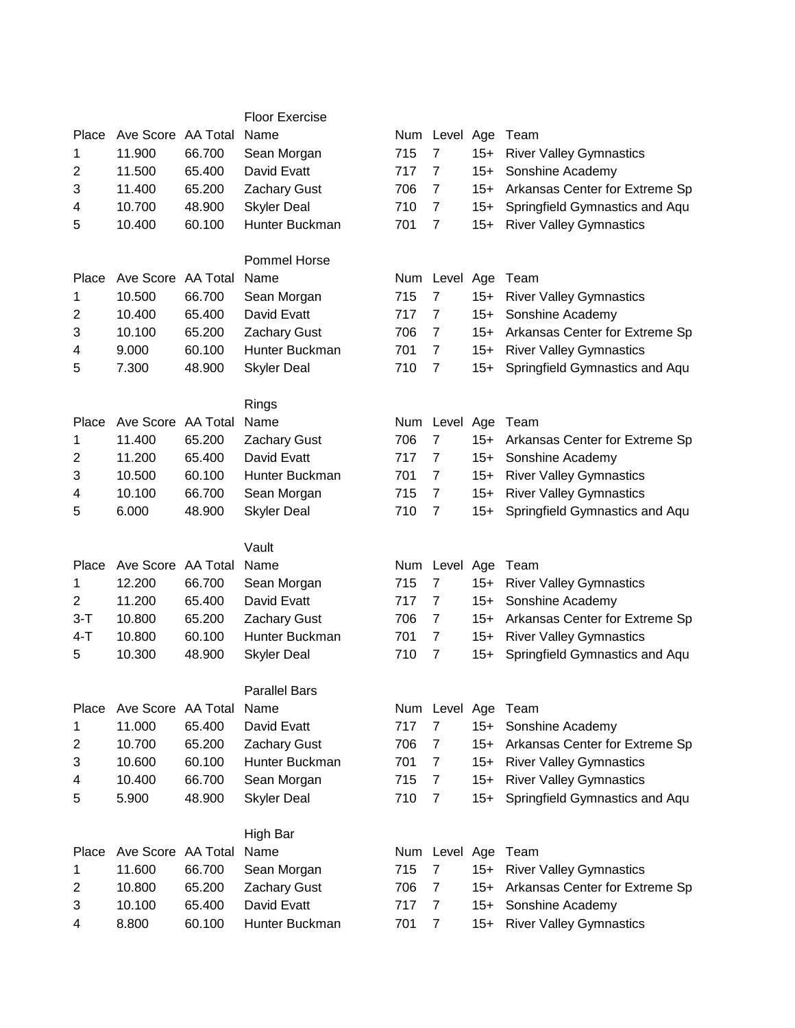|                |                    |        | <b>Floor Exercise</b> |     |                |       |                                |
|----------------|--------------------|--------|-----------------------|-----|----------------|-------|--------------------------------|
| Place          | Ave Score AA Total |        | Name                  |     | Num Level Age  |       | Team                           |
| 1              | 11.900             | 66.700 | Sean Morgan           | 715 | $\overline{7}$ | $15+$ | <b>River Valley Gymnastics</b> |
| 2              | 11.500             | 65.400 | David Evatt           | 717 | 7              | $15+$ | Sonshine Academy               |
| 3              | 11.400             | 65.200 | <b>Zachary Gust</b>   | 706 | $\overline{7}$ | $15+$ | Arkansas Center for Extreme Sp |
| 4              | 10.700             | 48.900 | <b>Skyler Deal</b>    | 710 | $\overline{7}$ | $15+$ | Springfield Gymnastics and Aqu |
| 5              | 10.400             | 60.100 | Hunter Buckman        | 701 | $\overline{7}$ | $15+$ | <b>River Valley Gymnastics</b> |
|                |                    |        |                       |     |                |       |                                |
|                |                    |        | Pommel Horse          |     |                |       |                                |
| Place          | Ave Score AA Total |        | Name                  | Num | Level Age      |       | Team                           |
| 1              | 10.500             | 66.700 | Sean Morgan           | 715 | 7              | $15+$ | <b>River Valley Gymnastics</b> |
| $\overline{2}$ | 10.400             | 65.400 | David Evatt           | 717 | $\overline{7}$ | $15+$ | Sonshine Academy               |
| 3              | 10.100             | 65.200 | <b>Zachary Gust</b>   | 706 | 7              | $15+$ | Arkansas Center for Extreme Sp |
| 4              | 9.000              | 60.100 | Hunter Buckman        | 701 | $\overline{7}$ | $15+$ | <b>River Valley Gymnastics</b> |
| 5              | 7.300              | 48.900 | <b>Skyler Deal</b>    | 710 | $\overline{7}$ | $15+$ | Springfield Gymnastics and Aqu |
|                |                    |        |                       |     |                |       |                                |
|                |                    |        | Rings                 |     |                |       |                                |
| Place          | Ave Score AA Total |        | Name                  | Num | Level          | Age   | Team                           |
| 1              | 11.400             | 65.200 | <b>Zachary Gust</b>   | 706 | $\overline{7}$ | $15+$ | Arkansas Center for Extreme Sp |
| $\overline{2}$ | 11.200             | 65.400 | David Evatt           | 717 | $\overline{7}$ | $15+$ | Sonshine Academy               |
| 3              | 10.500             | 60.100 | Hunter Buckman        | 701 | $\overline{7}$ | $15+$ | <b>River Valley Gymnastics</b> |
| 4              | 10.100             | 66.700 | Sean Morgan           | 715 | $\overline{7}$ | $15+$ | <b>River Valley Gymnastics</b> |
| 5              | 6.000              | 48.900 | <b>Skyler Deal</b>    | 710 | $\overline{7}$ | $15+$ | Springfield Gymnastics and Aqu |
|                |                    |        |                       |     |                |       |                                |
|                |                    |        | Vault                 |     |                |       |                                |
| Place          | Ave Score AA Total |        | Name                  |     | Num Level Age  |       | Team                           |
| 1              | 12.200             | 66.700 | Sean Morgan           | 715 | $\overline{7}$ | $15+$ | <b>River Valley Gymnastics</b> |
| 2              | 11.200             | 65.400 | David Evatt           | 717 | $\overline{7}$ | $15+$ | Sonshine Academy               |
| $3 - T$        | 10.800             | 65.200 | <b>Zachary Gust</b>   | 706 | $\overline{7}$ | $15+$ | Arkansas Center for Extreme Sp |
| $4 - T$        | 10.800             | 60.100 | Hunter Buckman        | 701 | $\overline{7}$ | $15+$ | <b>River Valley Gymnastics</b> |
| 5              | 10.300             | 48.900 | <b>Skyler Deal</b>    | 710 | $\overline{7}$ | $15+$ | Springfield Gymnastics and Aqu |
|                |                    |        |                       |     |                |       |                                |
|                |                    |        | <b>Parallel Bars</b>  |     |                |       |                                |
| Place          | Ave Score AA Total |        | Name                  |     | Num Level Age  |       | Team                           |
| 1              | 11.000             | 65.400 | David Evatt           | 717 | $\overline{7}$ | $15+$ | Sonshine Academy               |
| 2              | 10.700             | 65.200 | <b>Zachary Gust</b>   | 706 | $\overline{7}$ | $15+$ | Arkansas Center for Extreme Sp |
| 3              | 10.600             | 60.100 | Hunter Buckman        | 701 | $\overline{7}$ | $15+$ | <b>River Valley Gymnastics</b> |
| 4              | 10.400             | 66.700 | Sean Morgan           | 715 | $\overline{7}$ | $15+$ | <b>River Valley Gymnastics</b> |
| 5              | 5.900              | 48.900 | <b>Skyler Deal</b>    | 710 | $\overline{7}$ | $15+$ | Springfield Gymnastics and Aqu |
|                |                    |        | High Bar              |     |                |       |                                |
| Place          | Ave Score AA Total |        | Name                  | Num | Level Age      |       | Team                           |
| 1              | 11.600             | 66.700 | Sean Morgan           | 715 | 7              | $15+$ |                                |
|                | 10.800             | 65.200 |                       | 706 | $\overline{7}$ |       | <b>River Valley Gymnastics</b> |
| 2              |                    |        | <b>Zachary Gust</b>   |     |                | $15+$ | Arkansas Center for Extreme Sp |
| 3              | 10.100             | 65.400 | David Evatt           | 717 | $\overline{7}$ | $15+$ | Sonshine Academy               |
| 4              | 8.800              | 60.100 | Hunter Buckman        | 701 | $\overline{7}$ | $15+$ | <b>River Valley Gymnastics</b> |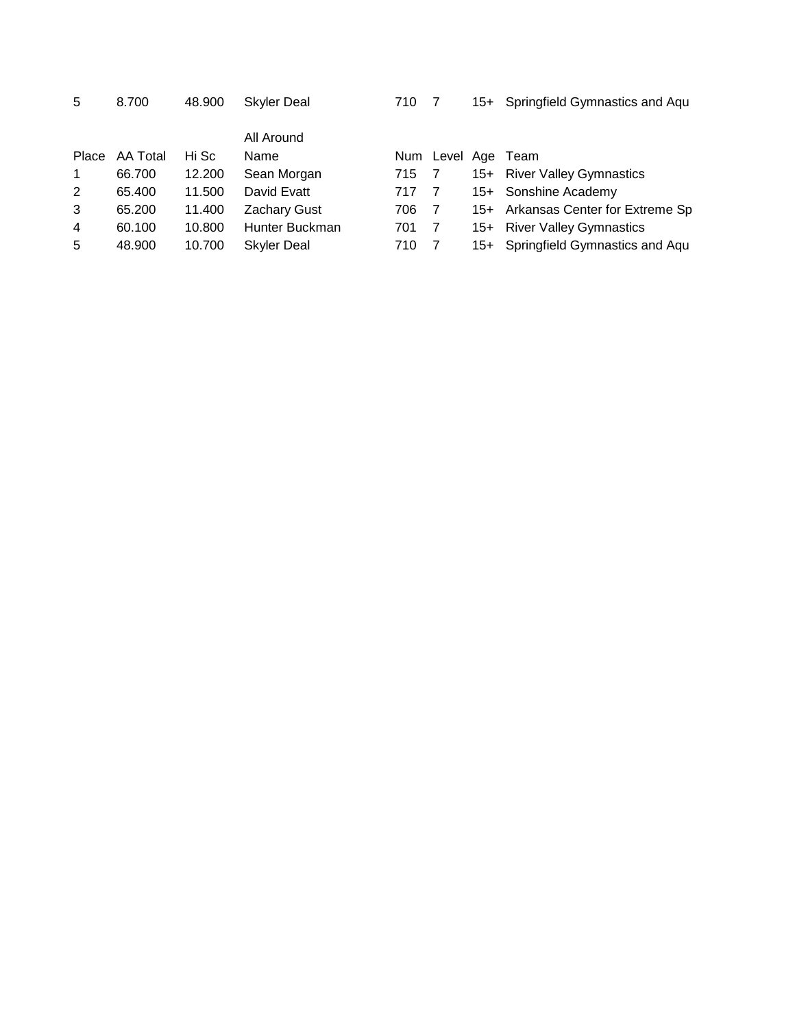|  | 8.700 |
|--|-------|
|--|-------|

|                |                |        | All Around         |       |                |                              |
|----------------|----------------|--------|--------------------|-------|----------------|------------------------------|
|                | Place AA Total | Hi Sc  | Name               | Num   |                | Level Age Team               |
| $\mathbf{1}$   | 66.700         | 12.200 | Sean Morgan        | 715 7 |                | 15+ River Valley Gymnastics  |
| 2              | 65.400         | 11.500 | David Evatt        | 717 7 |                | 15+ Sonshine Academy         |
| 3              | 65.200         | 11.400 | Zachary Gust       | 706   | $\overline{7}$ | 15+ Arkansas Center for Ext  |
| $\overline{4}$ | 60.100         | 10.800 | Hunter Buckman     | 701   | -7             | 15+ River Valley Gymnastics  |
| 5              | 48.900         | 10.700 | <b>Skyler Deal</b> | 710   |                | 15+ Springfield Gymnastics a |
|                |                |        |                    |       |                |                              |

|                |                |        | All Alvullu         |       |                    |                                    |
|----------------|----------------|--------|---------------------|-------|--------------------|------------------------------------|
|                | Place AA Total | Hi Sc  | Name                |       | Num Level Age Team |                                    |
| 1              | 66.700         | 12.200 | Sean Morgan         | 715 7 |                    | 15+ River Valley Gymnastics        |
| $\mathbf{2}^-$ | 65.400         | 11.500 | David Evatt         | 717 7 |                    | 15+ Sonshine Academy               |
| 3              | 65.200         | 11.400 | <b>Zachary Gust</b> | 706 7 |                    | 15+ Arkansas Center for Extreme Sp |
| 4              | 60.100         | 10.800 | Hunter Buckman      | 701   | $\overline{7}$     | 15+ River Valley Gymnastics        |
| 5              | 48.900         | 10.700 | Skyler Deal         | 710 7 |                    | 15+ Springfield Gymnastics and Aqu |
|                |                |        |                     |       |                    |                                    |